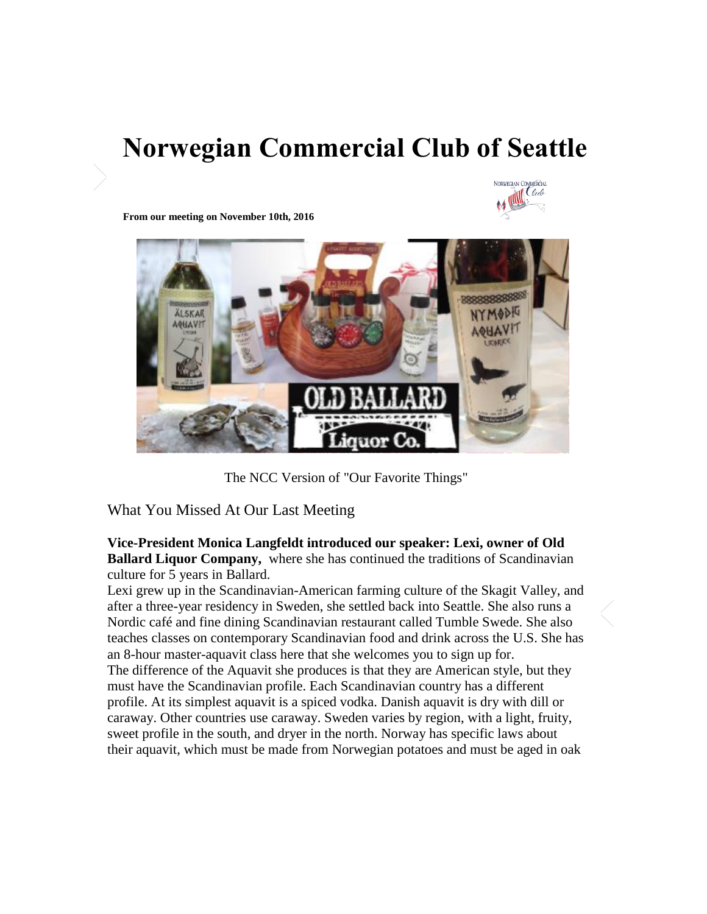## **Norwegian Commercial Club of Seattle**



**From our meeting on November 10th, 2016** 



The NCC Version of "Our Favorite Things"

What You Missed At Our Last Meeting

**Vice-President Monica Langfeldt introduced our speaker: Lexi, owner of Old Ballard Liquor Company,** where she has continued the traditions of Scandinavian culture for 5 years in Ballard.

Lexi grew up in the Scandinavian-American farming culture of the Skagit Valley, and after a three-year residency in Sweden, she settled back into Seattle. She also runs a Nordic café and fine dining Scandinavian restaurant called Tumble Swede. She also teaches classes on contemporary Scandinavian food and drink across the U.S. She has an 8-hour master-aquavit class here that she welcomes you to sign up for. The difference of the Aquavit she produces is that they are American style, but they must have the Scandinavian profile. Each Scandinavian country has a different profile. At its simplest aquavit is a spiced vodka. Danish aquavit is dry with dill or caraway. Other countries use caraway. Sweden varies by region, with a light, fruity, sweet profile in the south, and dryer in the north. Norway has specific laws about their aquavit, which must be made from Norwegian potatoes and must be aged in oak